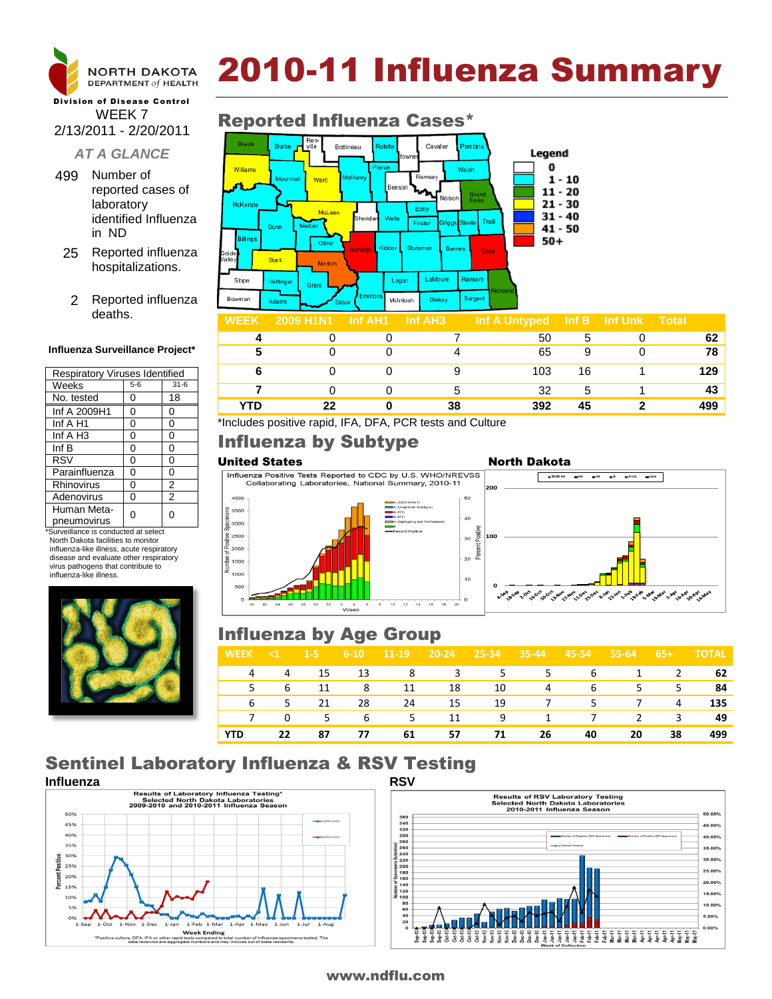

# 2010-11 Influenza Summary

### Division of Disease Control WEEK 7 2/13/2011 - 2/20/2011

### *AT A GLANCE*

- 499 Number of reported cases of laboratory identified Influenza in ND
- 25 Reported influenza hospitalizations.
	- 2 Reported influenza deaths.

#### **Influenza Surveillance Project\***

| <b>Respiratory Viruses Identified</b> |       |                |  |  |  |  |  |
|---------------------------------------|-------|----------------|--|--|--|--|--|
| Weeks                                 | $5-6$ | $31 - 6$       |  |  |  |  |  |
| No. tested                            | 0     | 18             |  |  |  |  |  |
| Inf A 2009H1                          | 0     | 0              |  |  |  |  |  |
| Inf A H1                              | 0     | 0              |  |  |  |  |  |
| Inf $A$ H <sub>3</sub>                | 0     | 0              |  |  |  |  |  |
| Inf B                                 | 0     | 0              |  |  |  |  |  |
| <b>RSV</b>                            | 0     | 0              |  |  |  |  |  |
| Parainfluenza                         | 0     | 0              |  |  |  |  |  |
| Rhinovirus                            | 0     | 2              |  |  |  |  |  |
| Adenovirus                            | 0     | $\overline{2}$ |  |  |  |  |  |
| Human Meta-                           | ი     | U              |  |  |  |  |  |
| pneumovirus                           |       |                |  |  |  |  |  |

\*Surveillance is conducted at select North Dakota facilities to monitor influenza-like illness, acute respiratory disease and evaluate other respiratory virus pathogens that contribute to influenza-like illness.



### Reported Influenza Cases\*



|            |    |    | .   |    |   |     |
|------------|----|----|-----|----|---|-----|
|            |    |    | 50  |    |   | 62  |
| 5          |    |    | 65  | 9  |   | 78  |
|            |    | 9  | 103 | 16 |   | 129 |
|            |    | b  | 32  | 5  |   | 43  |
| <b>YTD</b> | 22 | 38 | 392 | 45 | ົ | 499 |

\*Includes positive rapid, IFA, DFA, PCR tests and Culture

## Influenza by Subtype

necir



## Influenza by Age Group

| <b>WEEK</b> | KIT                        | $1-5$ | $6 - 10$       | $11-19$ | 20-24 25-34 |                | $35-44$ | 45-54 55-64      |                | $-65+$         | <b>TOTAL</b> |
|-------------|----------------------------|-------|----------------|---------|-------------|----------------|---------|------------------|----------------|----------------|--------------|
|             | 4                          | 15    | 13             | 8       | $\sim$ 3    | $\overline{5}$ |         | $5^{\circ}$<br>6 | $\overline{1}$ | $\overline{2}$ | 62           |
| 5.          |                            | 6 11  | 8 <sup>2</sup> | 11      | 18          | 10             | 4       | 6                |                | 5 5            | 84           |
| 6           | $\overline{\phantom{1}}$ 5 | 21    | 28             | 24      | 15          | 19             |         | 7 5              | $7\degree$     | 4              | 135          |
| 7           | 0                          |       |                | 5 6 5   | 11          | 9              |         | 1 7              |                | 2 3            | 49           |
| <b>YTD</b>  | 22                         | 87    | 77             | 61      | 57          | 71             | 26      | 40               | 20             | 38             | 499          |

# Sentinel Laboratory Influenza & RSV Testing





### www.ndflu.com